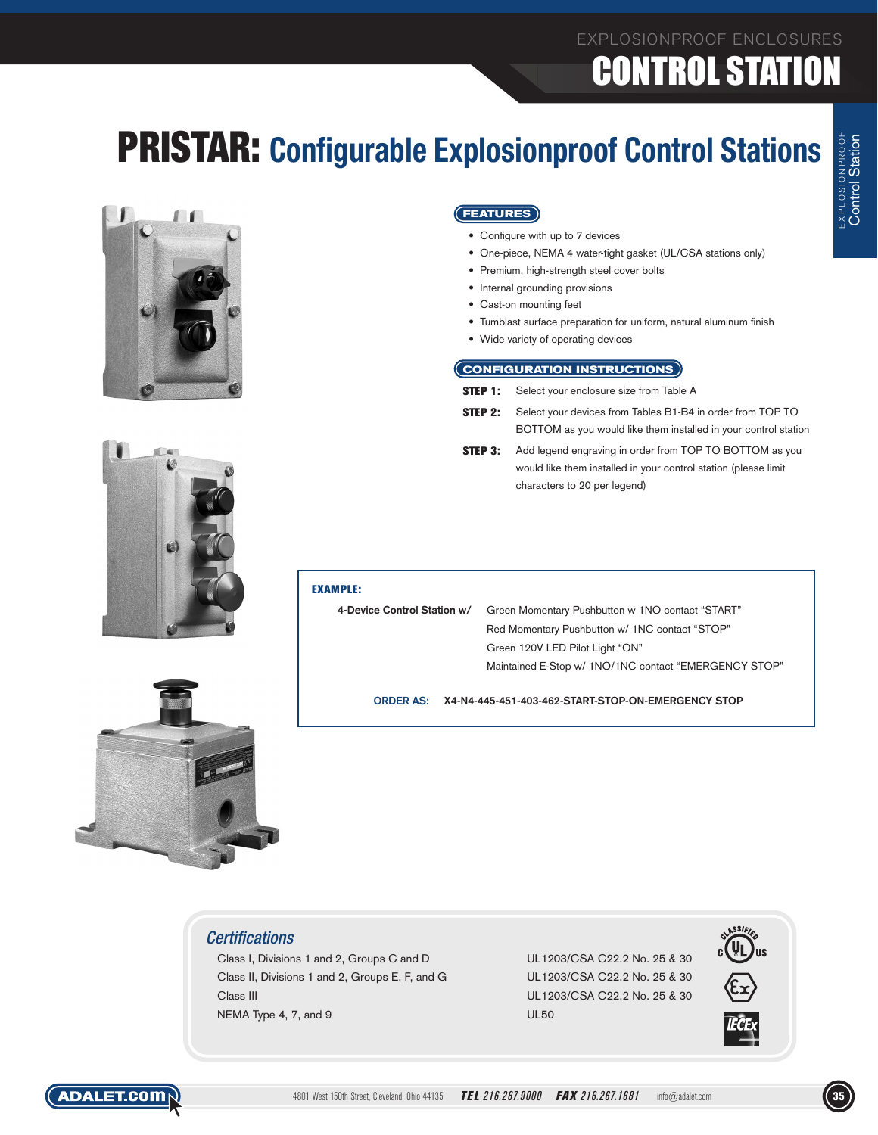## EXPLOSIONPROOF ENCLOSURES **CONTROL STATIO**

## PRISTAR: **Configurable Explosionproof Control Stations**





- • Configure with up to 7 devices
- One-piece, NEMA 4 water-tight gasket (UL/CSA stations only)
- • Premium, high-strength steel cover bolts
- Internal grounding provisions
- Cast-on mounting feet
- Tumblast surface preparation for uniform, natural aluminum finish
- • Wide variety of operating devices

### **CONFIGURATION INSTRUCTIONS**

- **STEP 1:** Select your enclosure size from Table A
- **STEP 2:** Select your devices from Tables B1-B4 in order from TOP TO BOTTOM as you would like them installed in your control station
- **STEP 3:** Add legend engraving in order from TOP TO BOTTOM as you would like them installed in your control station (please limit characters to 20 per legend)



### EXAMPLE:

**4-Device Control Station w/** Green Momentary Pushbutton w 1NO contact "START" Red Momentary Pushbutton w/ 1NC contact "STOP" Green 120V LED Pilot Light "ON" Maintained E-Stop w/ 1NO/1NC contact "EMERGENCY STOP"

**ORDER AS: X4-N4-445-451-403-462-START-STOP-ON-EMERGENCY STOP**



*Certifications*

Class I, Divisions 1 and 2, Groups C and D UL1203/CSA C22.2 No. 25 & 30 Class II, Divisions 1 and 2, Groups E, F, and G UL1203/CSA C22.2 No. 25 & 30 Class III UL1203/CSA C22.2 No. 25 & 30 NEMA Type 4, 7, and 9 UL50



Control Station

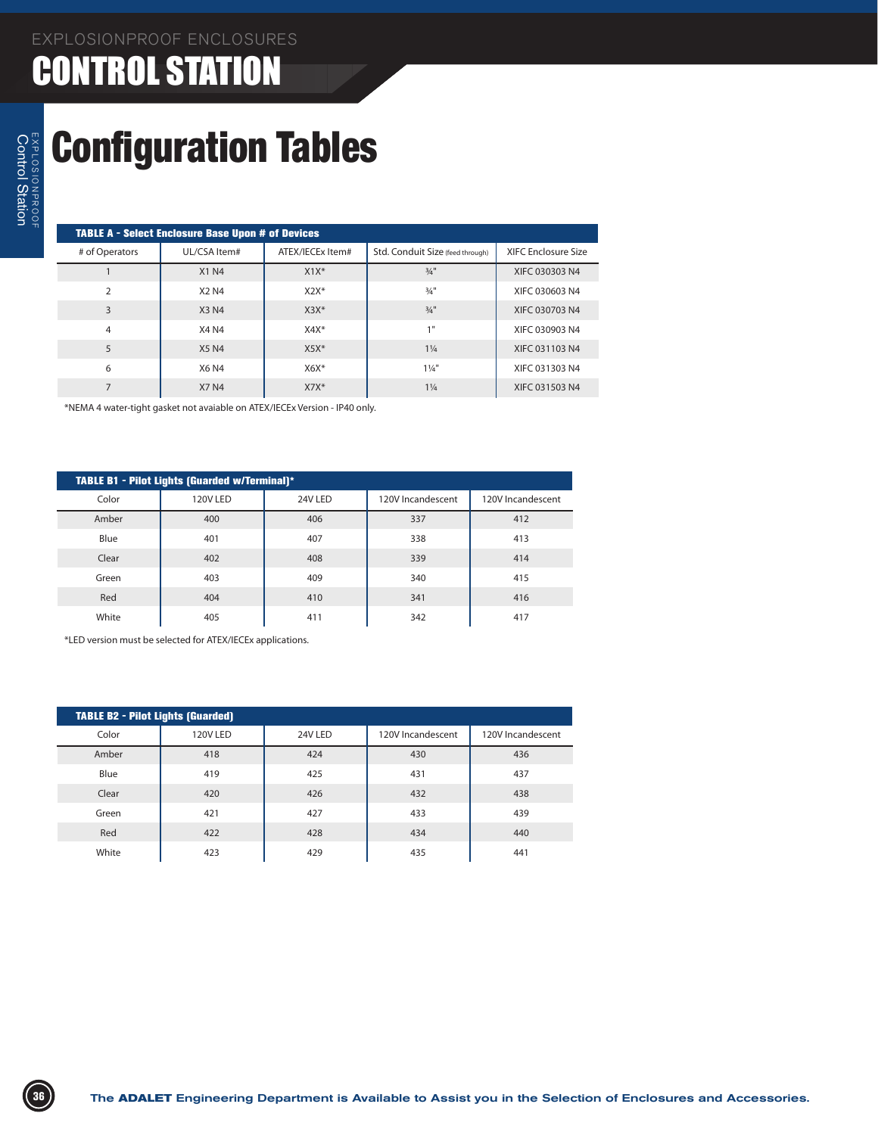### EXPLOSIONPROOF ENCLOSURES CONTROL STATION

# Configuration Tables

| <b>TABLE /</b> |
|----------------|
| # of Ope       |

|                | <b>TABLE A - Select Enclosure Base Upon # of Devices</b> |                  |                                  |                            |  |  |  |  |  |  |  |  |
|----------------|----------------------------------------------------------|------------------|----------------------------------|----------------------------|--|--|--|--|--|--|--|--|
| # of Operators | UL/CSA Item#                                             | ATEX/IECEx Item# | Std. Conduit Size (feed through) | <b>XIFC Enclosure Size</b> |  |  |  |  |  |  |  |  |
|                | <b>X1 N4</b>                                             | $X1X^*$          | $3/4$ "                          | XIFC 030303 N4             |  |  |  |  |  |  |  |  |
| $\overline{2}$ | X2 N4                                                    | $X2X*$           | 3/4"                             | XIFC 030603 N4             |  |  |  |  |  |  |  |  |
| 3              | X3 N4                                                    | $X3X*$           | $3/4$ "                          | XIFC 030703 N4             |  |  |  |  |  |  |  |  |
| 4              | <b>X4 N4</b>                                             | $X4X*$           | 1"                               | XIFC 030903 N4             |  |  |  |  |  |  |  |  |
| 5              | <b>X5 N4</b>                                             | $X5X*$           | $1\frac{1}{4}$                   | XIFC 031103 N4             |  |  |  |  |  |  |  |  |
| 6              | X6 N4                                                    | $X6X*$           | $1\frac{1}{4}$                   | XIFC 031303 N4             |  |  |  |  |  |  |  |  |
|                | <b>X7 N4</b>                                             | $X7X*$           | $1\frac{1}{4}$                   | XIFC 031503 N4             |  |  |  |  |  |  |  |  |

\*NEMA 4 water-tight gasket not avaiable on ATEX/IECEx Version - IP40 only.

| <b>TABLE B1 - Pilot Lights (Guarded w/Terminal)*</b> |          |         |                   |                   |  |  |  |  |  |  |  |
|------------------------------------------------------|----------|---------|-------------------|-------------------|--|--|--|--|--|--|--|
| Color                                                | 120V LED | 24V LED | 120V Incandescent | 120V Incandescent |  |  |  |  |  |  |  |
| Amber                                                | 400      | 406     | 337               | 412               |  |  |  |  |  |  |  |
| Blue                                                 | 401      | 407     | 338               | 413               |  |  |  |  |  |  |  |
| Clear                                                | 402      | 408     | 339               | 414               |  |  |  |  |  |  |  |
| Green                                                | 403      | 409     | 340               | 415               |  |  |  |  |  |  |  |
| Red                                                  | 404      | 410     | 341               | 416               |  |  |  |  |  |  |  |
| White                                                | 405      | 411     | 342               | 417               |  |  |  |  |  |  |  |

\*LED version must be selected for ATEX/IECEx applications.

|       | <b>TABLE B2 - Pilot Lights (Guarded)</b> |         |                   |                   |  |  |  |  |  |  |  |  |
|-------|------------------------------------------|---------|-------------------|-------------------|--|--|--|--|--|--|--|--|
| Color | 120V LED                                 | 24V LED | 120V Incandescent | 120V Incandescent |  |  |  |  |  |  |  |  |
| Amber | 418                                      | 424     | 430               | 436               |  |  |  |  |  |  |  |  |
| Blue  | 419                                      | 425     | 431               | 437               |  |  |  |  |  |  |  |  |
| Clear | 420                                      | 426     | 432               | 438               |  |  |  |  |  |  |  |  |
| Green | 421                                      | 427     | 433               | 439               |  |  |  |  |  |  |  |  |
| Red   | 422                                      | 428     | 434               | 440               |  |  |  |  |  |  |  |  |
| White | 423                                      | 429     | 435               | 441               |  |  |  |  |  |  |  |  |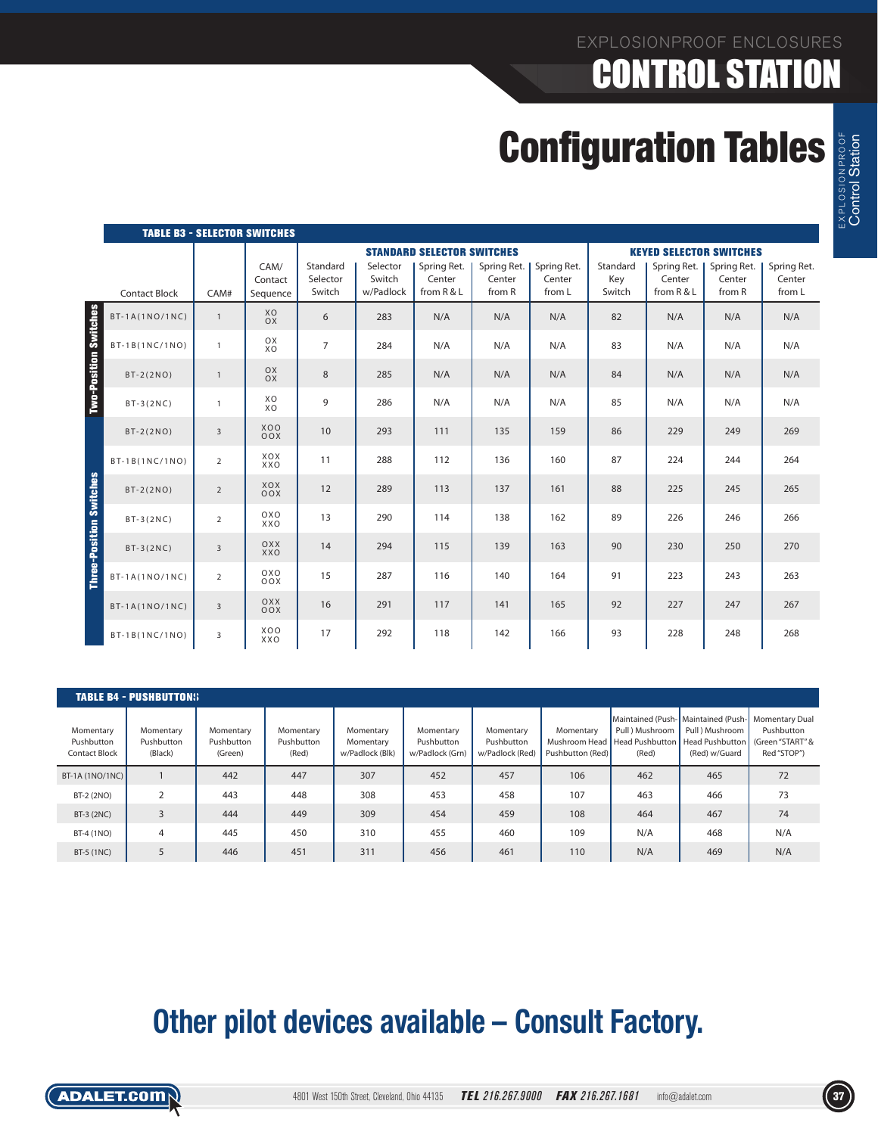## EXPLOSIONPROOF ENCLOSURES CONTROL STATION

# **Configuration Tables**

|                                | <b>TABLE B3 - SELECTOR SWITCHES</b> |                |                             |                                |                                 |                                     |                                 |                                 |                           |                                     |                                 |                                 |
|--------------------------------|-------------------------------------|----------------|-----------------------------|--------------------------------|---------------------------------|-------------------------------------|---------------------------------|---------------------------------|---------------------------|-------------------------------------|---------------------------------|---------------------------------|
|                                |                                     |                |                             |                                |                                 | <b>STANDARD SELECTOR SWITCHES</b>   |                                 |                                 |                           |                                     | <b>KEYED SELECTOR SWITCHES</b>  |                                 |
|                                | <b>Contact Block</b>                | CAM#           | CAM/<br>Contact<br>Sequence | Standard<br>Selector<br>Switch | Selector<br>Switch<br>w/Padlock | Spring Ret.<br>Center<br>from R & L | Spring Ret.<br>Center<br>from R | Spring Ret.<br>Center<br>from L | Standard<br>Key<br>Switch | Spring Ret.<br>Center<br>from R & L | Spring Ret.<br>Center<br>from R | Spring Ret.<br>Center<br>from L |
|                                | $BT-1A(1NO/1NC)$                    | $\mathbf{1}$   | XO<br><b>OX</b>             | 6                              | 283                             | N/A                                 | N/A                             | N/A                             | 82                        | N/A                                 | N/A                             | N/A                             |
|                                | $BT-1B(1NC/1NO)$                    | $\mathbf{1}$   | OX<br><b>XO</b>             | $\overline{7}$                 | 284                             | N/A                                 | N/A                             | N/A                             | 83                        | N/A                                 | N/A                             | N/A                             |
| <b>Two-Position Switches</b>   | $BT-2(2NO)$                         | $\mathbf{1}$   | OX<br>OX                    | 8                              | 285                             | N/A                                 | N/A                             | N/A                             | 84                        | N/A                                 | N/A                             | N/A                             |
|                                | $BT-3(2NC)$                         | $\mathbf{1}$   | XO<br><b>XO</b>             | 9                              | 286                             | N/A                                 | N/A                             | N/A                             | 85                        | N/A                                 | N/A                             | N/A                             |
|                                | $BT-2(2NO)$                         | $\overline{3}$ | <b>XOO</b><br>OOX           | 10                             | 293                             | 111                                 | 135                             | 159                             | 86                        | 229                                 | 249                             | 269                             |
|                                | BT-1B(1NC/1NO)                      | $\overline{2}$ | XOX<br>XXO                  | 11                             | 288                             | 112                                 | 136                             | 160                             | 87                        | 224                                 | 244                             | 264                             |
| <b>Three-Position Switches</b> | $BT-2(2NO)$                         | $\overline{2}$ | XOX<br>OOX                  | 12                             | 289                             | 113                                 | 137                             | 161                             | 88                        | 225                                 | 245                             | 265                             |
|                                | $BT-3(2NC)$                         | $\overline{2}$ | OXO<br>XXO                  | 13                             | 290                             | 114                                 | 138                             | 162                             | 89                        | 226                                 | 246                             | 266                             |
|                                | $BT-3(2NC)$                         | 3              | OXX<br>XXO                  | 14                             | 294                             | 115                                 | 139                             | 163                             | 90                        | 230                                 | 250                             | 270                             |
|                                | $BT-1A(1NO/1NC)$                    | $\overline{2}$ | OXO<br>OOX                  | 15                             | 287                             | 116                                 | 140                             | 164                             | 91                        | 223                                 | 243                             | 263                             |
|                                | $BT-1A(1NO/1NC)$                    | $\overline{3}$ | OXX<br>OOX                  | 16                             | 291                             | 117                                 | 141                             | 165                             | 92                        | 227                                 | 247                             | 267                             |
|                                | BT-1B(1NC/1NO)                      | 3              | <b>XOO</b><br>XXO           | 17                             | 292                             | 118                                 | 142                             | 166                             | 93                        | 228                                 | 248                             | 268                             |

|                                          | <b>TABLE B4 - PUSHBUTTONS</b>      |                                    |                                  |                                           |                                            |                                            |                                                  |                                                    |                                                                                                                  |                                               |
|------------------------------------------|------------------------------------|------------------------------------|----------------------------------|-------------------------------------------|--------------------------------------------|--------------------------------------------|--------------------------------------------------|----------------------------------------------------|------------------------------------------------------------------------------------------------------------------|-----------------------------------------------|
| Momentary<br>Pushbutton<br>Contact Block | Momentary<br>Pushbutton<br>(Black) | Momentary<br>Pushbutton<br>(Green) | Momentary<br>Pushbutton<br>(Red) | Momentary<br>Momentary<br>w/Padlock (Blk) | Momentary<br>Pushbutton<br>w/Padlock (Grn) | Momentary<br>Pushbutton<br>w/Padlock (Red) | Momentary<br>Mushroom Head  <br>Pushbutton (Red) | Pull ) Mushroom<br><b>Head Pushbutton</b><br>(Red) | Maintained (Push- Maintained (Push- Momentary Dual<br>Pull ) Mushroom<br><b>Head Pushbutton</b><br>(Red) w/Guard | Pushbutton<br>(Green "START" &<br>Red "STOP") |
| $BT-1A (1NO/1NC)$                        |                                    | 442                                | 447                              | 307                                       | 452                                        | 457                                        | 106                                              | 462                                                | 465                                                                                                              | 72                                            |
| BT-2 (2NO)                               | 2                                  | 443                                | 448                              | 308                                       | 453                                        | 458                                        | 107                                              | 463                                                | 466                                                                                                              | 73                                            |
| BT-3 (2NC)                               | 3                                  | 444                                | 449                              | 309                                       | 454                                        | 459                                        | 108                                              | 464                                                | 467                                                                                                              | 74                                            |
| BT-4 (1NO)                               | 4                                  | 445                                | 450                              | 310                                       | 455                                        | 460                                        | 109                                              | N/A                                                | 468                                                                                                              | N/A                                           |
| BT-5 (1NC)                               | 5                                  | 446                                | 451                              | 311                                       | 456                                        | 461                                        | 110                                              | N/A                                                | 469                                                                                                              | N/A                                           |

## **Other pilot devices available – Consult Factory.**



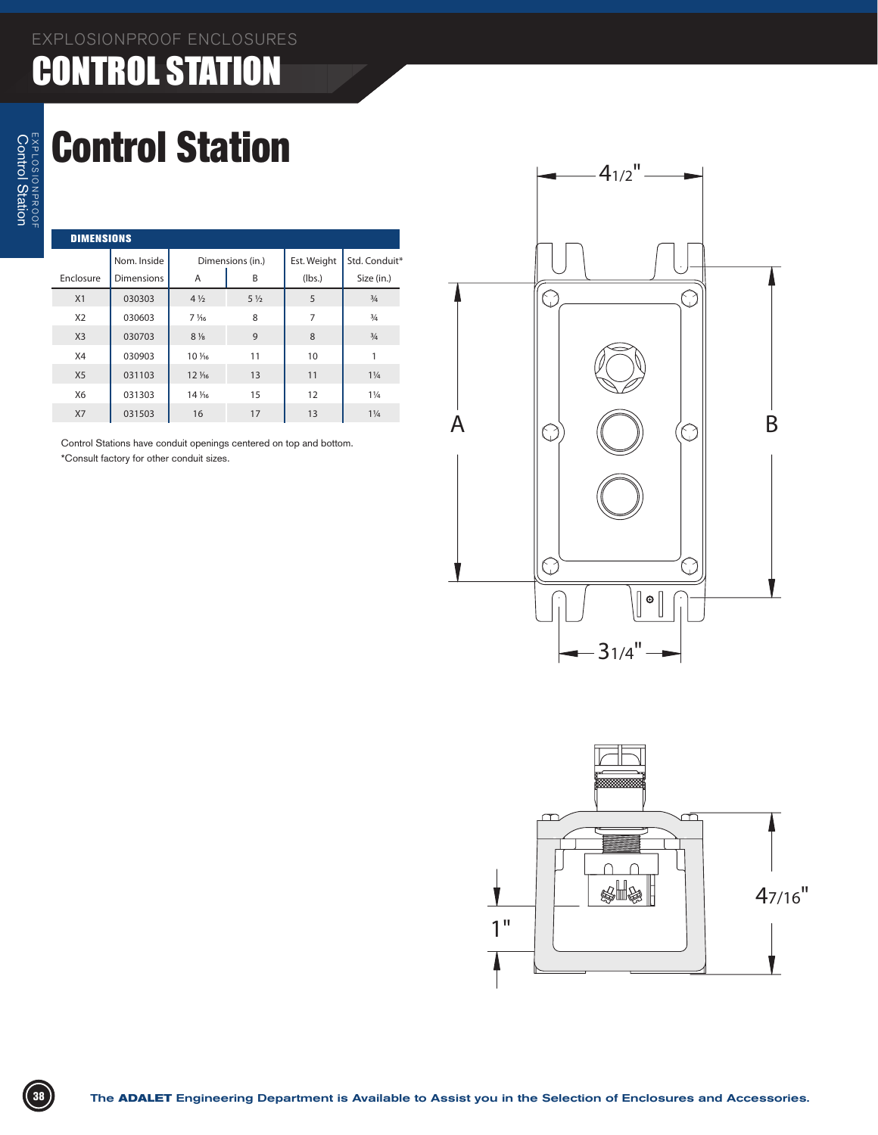## EXPLOSIONPROOF ENCLOSURES CONTROL STATION

# Control Station

| <b>DIMENSIONS</b> |                   |                 |                  |             |                |  |  |  |  |  |  |
|-------------------|-------------------|-----------------|------------------|-------------|----------------|--|--|--|--|--|--|
|                   | Nom. Inside       |                 | Dimensions (in.) | Est. Weight | Std. Conduit*  |  |  |  |  |  |  |
| Enclosure         | <b>Dimensions</b> | A               | B                | (lbs.)      | Size (in.)     |  |  |  |  |  |  |
| X1                | 030303            | $4\frac{1}{2}$  | $5\frac{1}{2}$   | 5           | $\frac{3}{4}$  |  |  |  |  |  |  |
| X <sub>2</sub>    | 030603            | $7\frac{1}{6}$  | 8                | 7           | $\frac{3}{4}$  |  |  |  |  |  |  |
| X <sub>3</sub>    | 030703            | $8\frac{1}{8}$  | 9                | 8           | $\frac{3}{4}$  |  |  |  |  |  |  |
| X4                | 030903            | $10\frac{1}{6}$ | 11               | 10          | 1              |  |  |  |  |  |  |
| X <sub>5</sub>    | 031103            | $12\frac{1}{6}$ | 13               | 11          | $1\frac{1}{4}$ |  |  |  |  |  |  |
| X6                | 031303            | 14 1/16         | 15               | 12          | $1\frac{1}{4}$ |  |  |  |  |  |  |
| X7                | 031503            | 16              | 17               | 13          | $1\frac{1}{4}$ |  |  |  |  |  |  |

Control Stations have conduit openings centered on top and bottom. \*Consult factory for other conduit sizes.